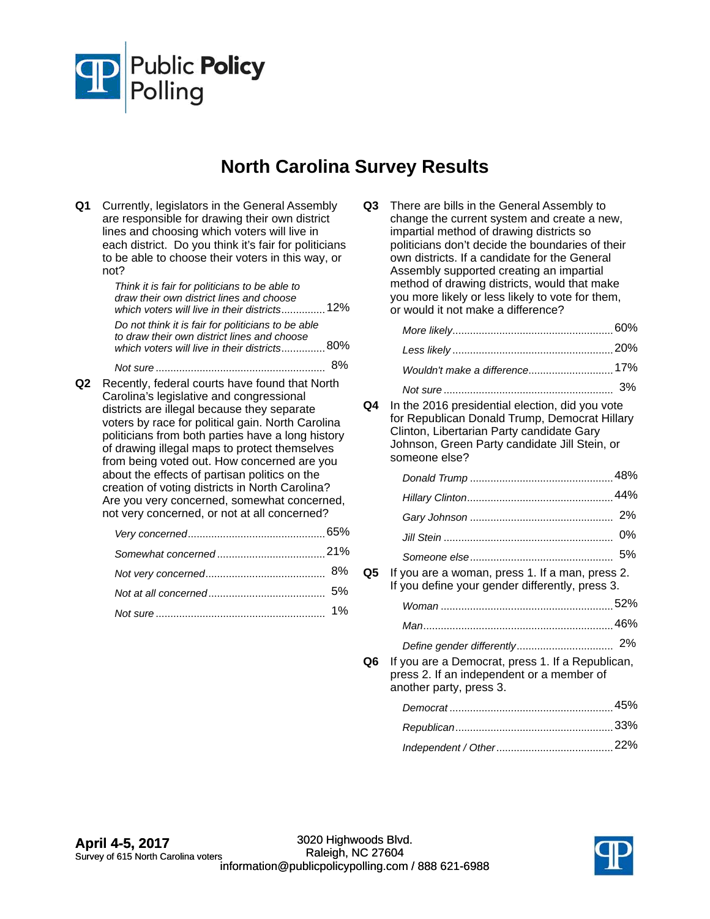

## **North Carolina Survey Results**

| Q1 | Currently, legislators in the General Assembly<br>are responsible for drawing their own district<br>lines and choosing which voters will live in<br>each district. Do you think it's fair for politicians<br>to be able to choose their voters in this way, or<br>not?                                                                                                                                                                                                                               | Q <sub>3</sub> | The<br>cha<br>imp<br>polit<br>own<br>Ass                 |
|----|------------------------------------------------------------------------------------------------------------------------------------------------------------------------------------------------------------------------------------------------------------------------------------------------------------------------------------------------------------------------------------------------------------------------------------------------------------------------------------------------------|----------------|----------------------------------------------------------|
|    | Think it is fair for politicians to be able to<br>draw their own district lines and choose<br>which voters will live in their districts 12%                                                                                                                                                                                                                                                                                                                                                          |                | met<br>you<br>or w                                       |
|    | Do not think it is fair for politicians to be able<br>to draw their own district lines and choose<br>which voters will live in their districts 80%                                                                                                                                                                                                                                                                                                                                                   |                | M<br>L١                                                  |
|    |                                                                                                                                                                                                                                                                                                                                                                                                                                                                                                      |                | N                                                        |
| Q2 | Recently, federal courts have found that North                                                                                                                                                                                                                                                                                                                                                                                                                                                       |                |                                                          |
|    | Carolina's legislative and congressional<br>districts are illegal because they separate<br>voters by race for political gain. North Carolina<br>politicians from both parties have a long history<br>of drawing illegal maps to protect themselves<br>from being voted out. How concerned are you<br>about the effects of partisan politics on the<br>creation of voting districts in North Carolina?<br>Are you very concerned, somewhat concerned,<br>not very concerned, or not at all concerned? | Q4             | N<br>In th<br>for I<br>Clin<br>Joh<br>som<br>D<br>H<br>G |
|    |                                                                                                                                                                                                                                                                                                                                                                                                                                                                                                      |                | Ji                                                       |
|    |                                                                                                                                                                                                                                                                                                                                                                                                                                                                                                      |                | S                                                        |
|    | 8%                                                                                                                                                                                                                                                                                                                                                                                                                                                                                                   | Q5             | If yc                                                    |
|    |                                                                                                                                                                                                                                                                                                                                                                                                                                                                                                      |                | If yc                                                    |
|    | 1%                                                                                                                                                                                                                                                                                                                                                                                                                                                                                                   |                | И<br>M                                                   |
|    |                                                                                                                                                                                                                                                                                                                                                                                                                                                                                                      |                | D                                                        |
|    |                                                                                                                                                                                                                                                                                                                                                                                                                                                                                                      |                |                                                          |

**Q3** There are bills in the General Assembly to nge the current system and create a new, artial method of drawing districts so ticians don't decide the boundaries of their districts. If a candidate for the General embly supported creating an impartial hod of drawing districts, would that make more likely or less likely to vote for them, ould it not make a difference?

|    | Wouldn't make a difference 17%                                                                                                                                                                                  |       |
|----|-----------------------------------------------------------------------------------------------------------------------------------------------------------------------------------------------------------------|-------|
|    |                                                                                                                                                                                                                 |       |
| Q4 | In the 2016 presidential election, did you vote<br>for Republican Donald Trump, Democrat Hillary<br>Clinton, Libertarian Party candidate Gary<br>Johnson, Green Party candidate Jill Stein, or<br>someone else? |       |
|    |                                                                                                                                                                                                                 |       |
|    |                                                                                                                                                                                                                 |       |
|    |                                                                                                                                                                                                                 |       |
|    |                                                                                                                                                                                                                 | $0\%$ |
|    |                                                                                                                                                                                                                 | 5%    |
| Q5 | If you are a woman, press 1. If a man, press 2.<br>If you define your gender differently, press 3.                                                                                                              |       |
|    |                                                                                                                                                                                                                 |       |
|    |                                                                                                                                                                                                                 |       |
|    |                                                                                                                                                                                                                 |       |
| Q6 | If you are a Democrat, press 1. If a Republican,<br>press 2. If an independent or a member of<br>another party, press 3.                                                                                        |       |
|    |                                                                                                                                                                                                                 |       |
|    |                                                                                                                                                                                                                 |       |
|    |                                                                                                                                                                                                                 |       |

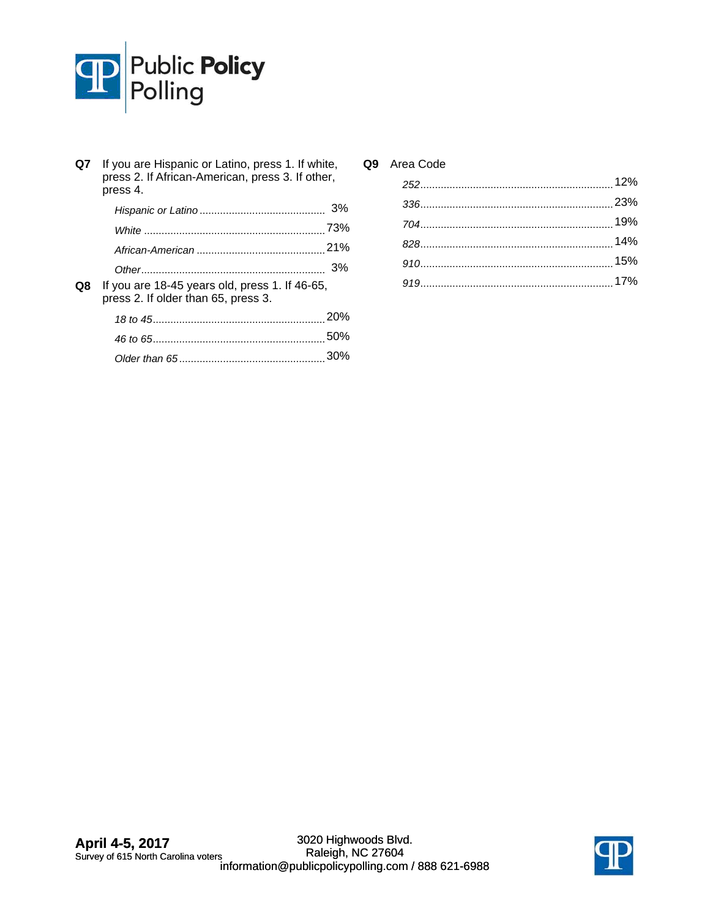

| Q7 | If you are Hispanic or Latino, press 1. If white,<br>press 2. If African-American, press 3. If other,<br>press 4. |     |
|----|-------------------------------------------------------------------------------------------------------------------|-----|
|    |                                                                                                                   | 3%  |
|    |                                                                                                                   |     |
|    |                                                                                                                   |     |
|    |                                                                                                                   | 3%  |
| Q8 | If you are 18-45 years old, press 1. If 46-65,<br>press 2. If older than 65, press 3.                             |     |
|    |                                                                                                                   |     |
|    |                                                                                                                   |     |
|    |                                                                                                                   | 30% |

| Q9 Area Code |      |
|--------------|------|
|              | インツへ |
| הוכיכי       |      |

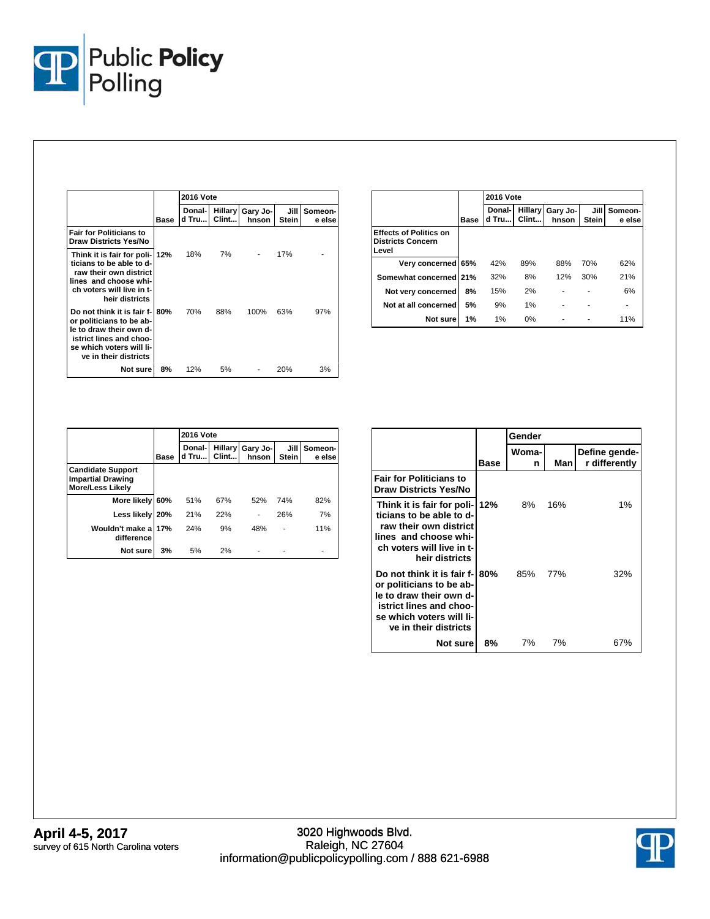

|                                                                                                                                                                       |      | <b>2016 Vote</b> |                         |                   |               |                   |  |
|-----------------------------------------------------------------------------------------------------------------------------------------------------------------------|------|------------------|-------------------------|-------------------|---------------|-------------------|--|
|                                                                                                                                                                       | Base | Donal-<br>d Tru  | <b>Hillary</b><br>Clint | Gary Jo-<br>hnson | Jill<br>Stein | Someon-<br>e else |  |
| <b>Fair for Politicians to</b><br><b>Draw Districts Yes/No</b>                                                                                                        |      |                  |                         |                   |               |                   |  |
| Think it is fair for poli- 12%<br>ticians to be able to d-<br>raw their own district<br>lines and choose whi-<br>ch voters will live in t-<br>heir districts          |      | 18%              | 7%                      |                   | 17%           |                   |  |
| Do not think it is fair f-180%<br>or politicians to be ab-<br>le to draw their own d-<br>istrict lines and choo-<br>se which voters will li-<br>ve in their districts |      | 70%              | 88%                     | 100%              | 63%           | 97%               |  |
| Not sure                                                                                                                                                              | 8%   | 12%              | 5%                      |                   | 20%           | 3%                |  |

|                                                                    |      | <b>2016 Vote</b> |                  |                   |               |                   |
|--------------------------------------------------------------------|------|------------------|------------------|-------------------|---------------|-------------------|
|                                                                    | Base | Donal-<br>d Tru  | Hillary<br>Clint | Gary Jo-<br>hnson | Jill<br>Stein | Someon-<br>e else |
| <b>Effects of Politics on</b><br><b>Districts Concern</b><br>Level |      |                  |                  |                   |               |                   |
| Very concerned 65%                                                 |      | 42%              | 89%              | 88%               | 70%           | 62%               |
| Somewhat concerned 21%                                             |      | 32%              | 8%               | 12%               | 30%           | 21%               |
| Not very concerned                                                 | 8%   | 15%              | 2%               |                   |               | 6%                |
| Not at all concerned                                               | 5%   | 9%               | 1%               |                   |               | ۰                 |
| Not sure                                                           | 1%   | 1%               | 0%               |                   |               | 11%               |

|                                                                                 |      | <b>2016 Vote</b> |                         |                   |               |                   |
|---------------------------------------------------------------------------------|------|------------------|-------------------------|-------------------|---------------|-------------------|
|                                                                                 | Base | Donal-<br>d Tru  | <b>Hillary</b><br>Clint | Gary Jo-<br>hnson | Jill<br>Stein | Someon-<br>e else |
| <b>Candidate Support</b><br><b>Impartial Drawing</b><br><b>More/Less Likely</b> |      |                  |                         |                   |               |                   |
| <b>More likely</b>                                                              | 60%  | 51%              | 67%                     | 52%               | 74%           | 82%               |
| Less likely                                                                     | 20%  | 21%              | 22%                     | ۰                 | 26%           | 7%                |
| Wouldn't make a<br>difference                                                   | 17%  | 24%              | 9%                      | 48%               | ٠             | 11%               |
| Not sure                                                                        | 3%   | 5%               | 2%                      |                   |               |                   |

|                                                                                                                                                                       |      | Gender     |      |                                |
|-----------------------------------------------------------------------------------------------------------------------------------------------------------------------|------|------------|------|--------------------------------|
|                                                                                                                                                                       | Base | Woma-<br>n | Manl | Define gende-<br>r differently |
| <b>Fair for Politicians to</b><br>Draw Districts Yes/No                                                                                                               |      |            |      |                                |
| Think it is fair for poli- 12%<br>ticians to be able to d-<br>raw their own district<br>lines and choose whi-<br>ch voters will live in t-<br>heir districts          |      | 8%         | 16%  | 1%                             |
| Do not think it is fair f- 80%<br>or politicians to be ab-<br>le to draw their own d-<br>istrict lines and choo-<br>se which voters will li-<br>ve in their districts |      | 85%        | 77%  | 32%                            |
| Not sure                                                                                                                                                              | 8%   | 7%         | 7%   | 67%                            |

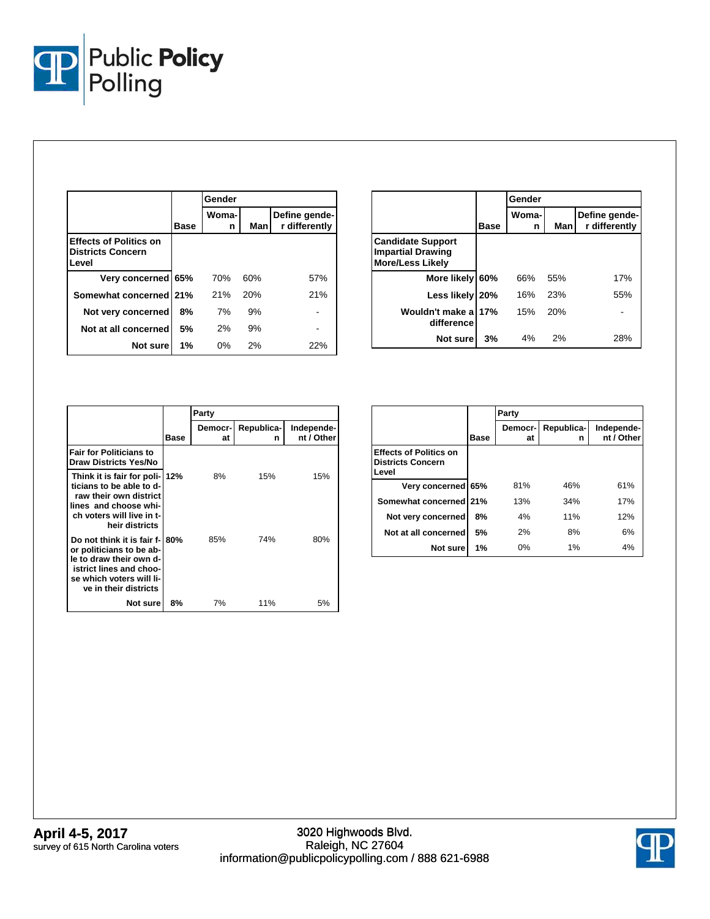

|                                                                    |             | Gender     |            |                                |
|--------------------------------------------------------------------|-------------|------------|------------|--------------------------------|
|                                                                    | <b>Base</b> | Woma-<br>n | Man        | Define gende-<br>r differently |
| <b>Effects of Politics on</b><br><b>Districts Concern</b><br>Level |             |            |            |                                |
| Very concerned                                                     | 65%         | 70%        | 60%        | 57%                            |
| Somewhat concerned 21%                                             |             | 21%        | <b>20%</b> | 21%                            |
| Not very concerned                                                 | 8%          | 7%         | 9%         |                                |
| Not at all concerned                                               | 5%          | 2%         | 9%         |                                |
| Not sure                                                           | 1%          | $0\%$      | 2%         | 22%                            |

|                                                                                 |             | Gender     |            |                                |
|---------------------------------------------------------------------------------|-------------|------------|------------|--------------------------------|
|                                                                                 | <b>Base</b> | Woma-<br>n | Man        | Define gende-<br>r differently |
| <b>Candidate Support</b><br><b>Impartial Drawing</b><br><b>More/Less Likely</b> |             |            |            |                                |
| More likely                                                                     | 60%         | 66%        | 55%        | 17%                            |
| Less likely                                                                     | 20%         | 16%        | 23%        | 55%                            |
| Wouldn't make a<br>difference                                                   | 17%         | 15%        | <b>20%</b> |                                |
| Not sure                                                                        | 3%          | 4%         | 2%         | 28%                            |

|                                                                                                                                                                       |      | Party         |                 |                          |
|-----------------------------------------------------------------------------------------------------------------------------------------------------------------------|------|---------------|-----------------|--------------------------|
|                                                                                                                                                                       | Base | Democr-<br>at | Republica-<br>n | Independe-<br>nt / Other |
| <b>Fair for Politicians to</b><br>Draw Districts Yes/No                                                                                                               |      |               |                 |                          |
| Think it is fair for poli- 12%<br>ticians to be able to d-<br>raw their own district<br>lines and choose whi-<br>ch voters will live in t-<br>heir districts          |      | 8%            | 15%             | 15%                      |
| Do not think it is fair f-180%<br>or politicians to be ab-<br>le to draw their own d-<br>istrict lines and choo-<br>se which voters will li-<br>ve in their districts |      | 85%           | 74%             | 80%                      |
| Not sure                                                                                                                                                              | 8%   | 7%            | 11%             | 5%                       |

|                                                                    |      | Party         |                 |                          |  |  |  |
|--------------------------------------------------------------------|------|---------------|-----------------|--------------------------|--|--|--|
|                                                                    | Base | Democr-<br>at | Republica-<br>n | Independe-<br>nt / Other |  |  |  |
| <b>Effects of Politics on</b><br><b>Districts Concern</b><br>Level |      |               |                 |                          |  |  |  |
| Very concerned 65%                                                 |      | 81%           | 46%             | 61%                      |  |  |  |
| Somewhat concerned   21%                                           |      | 13%           | 34%             | 17%                      |  |  |  |
| Not very concerned                                                 | 8%   | 4%            | 11%             | 12%                      |  |  |  |
| Not at all concerned                                               | 5%   | 2%            | 8%              | 6%                       |  |  |  |
| Not sure                                                           | 1%   | 0%            | 1%              | 4%                       |  |  |  |

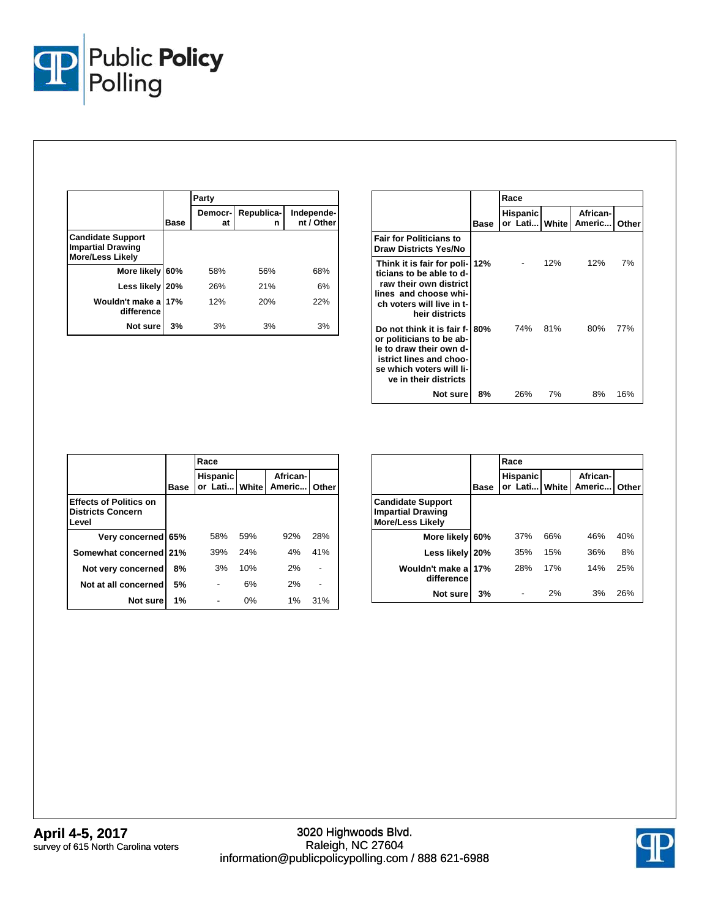

|                                                                                 |      | Party         |                 |                          |
|---------------------------------------------------------------------------------|------|---------------|-----------------|--------------------------|
|                                                                                 | Base | Democr-<br>at | Republica-<br>n | Independe-<br>nt / Other |
| <b>Candidate Support</b><br><b>Impartial Drawing</b><br><b>More/Less Likely</b> |      |               |                 |                          |
| More likely                                                                     | 60%  | 58%           | 56%             | 68%                      |
| Less likely                                                                     | 20%  | 26%           | 21%             | 6%                       |
| Wouldn't make a 17%<br>difference                                               |      | 12%           | 20%             | 22%                      |
| Not sure                                                                        | 3%   | 3%            | 3%              | 3%                       |

|                                                                                                                                                                       |      | Race                       |       |                            |       |  |
|-----------------------------------------------------------------------------------------------------------------------------------------------------------------------|------|----------------------------|-------|----------------------------|-------|--|
|                                                                                                                                                                       | Base | <b>Hispanic</b><br>or Lati | White | <b>African-</b><br>AmericI | Other |  |
| <b>Fair for Politicians to</b><br>Draw Districts Yes/No                                                                                                               |      |                            |       |                            |       |  |
| Think it is fair for poli-12%<br>ticians to be able to d-<br>raw their own district<br>lines and choose whi-<br>ch voters will live in t-<br>heir districts           |      |                            | 12%   | 12%                        | 7%    |  |
| Do not think it is fair f-180%<br>or politicians to be ab-<br>le to draw their own d-<br>istrict lines and choo-<br>se which voters will li-<br>ve in their districts |      | 74%                        | 81%   | 80%                        | 77%   |  |
| Not sure                                                                                                                                                              | 8%   | 26%                        | 7%    | 8%                         | 16%   |  |

|                                                                    |             | Race                       |              |                    |       |  |  |  |  |
|--------------------------------------------------------------------|-------------|----------------------------|--------------|--------------------|-------|--|--|--|--|
|                                                                    | <b>Base</b> | <b>Hispanic</b><br>or Lati | <b>White</b> | African-<br>Americ | Other |  |  |  |  |
| <b>Effects of Politics on</b><br><b>Districts Concern</b><br>Level |             |                            |              |                    |       |  |  |  |  |
| Very concerned                                                     | 65%         | 58%                        | 59%          | 92%                | 28%   |  |  |  |  |
| Somewhat concerned 21%                                             |             | 39%                        | 24%          | 4%                 | 41%   |  |  |  |  |
| Not very concerned                                                 | 8%          | 3%                         | 10%          | 2%                 |       |  |  |  |  |
| Not at all concerned                                               | 5%          |                            | 6%           | 2%                 |       |  |  |  |  |
| Not sure                                                           | 1%          |                            | $0\%$        | $1\%$              | 31%   |  |  |  |  |

|                                                                                 |             | Race                       |       |                    |       |  |  |  |
|---------------------------------------------------------------------------------|-------------|----------------------------|-------|--------------------|-------|--|--|--|
|                                                                                 | <b>Base</b> | <b>Hispanic</b><br>or Lati | White | African-<br>Americ | Other |  |  |  |
| <b>Candidate Support</b><br><b>Impartial Drawing</b><br><b>More/Less Likely</b> |             |                            |       |                    |       |  |  |  |
| More likely                                                                     | 60%         | 37%                        | 66%   | 46%                | 40%   |  |  |  |
| Less likely 20%                                                                 |             | 35%                        | 15%   | 36%                | 8%    |  |  |  |
| Wouldn't make a<br>difference                                                   | 17%         | 28%                        | 17%   | 14%                | 25%   |  |  |  |
| Not sure                                                                        | 3%          |                            | 2%    | 3%                 | 26%   |  |  |  |

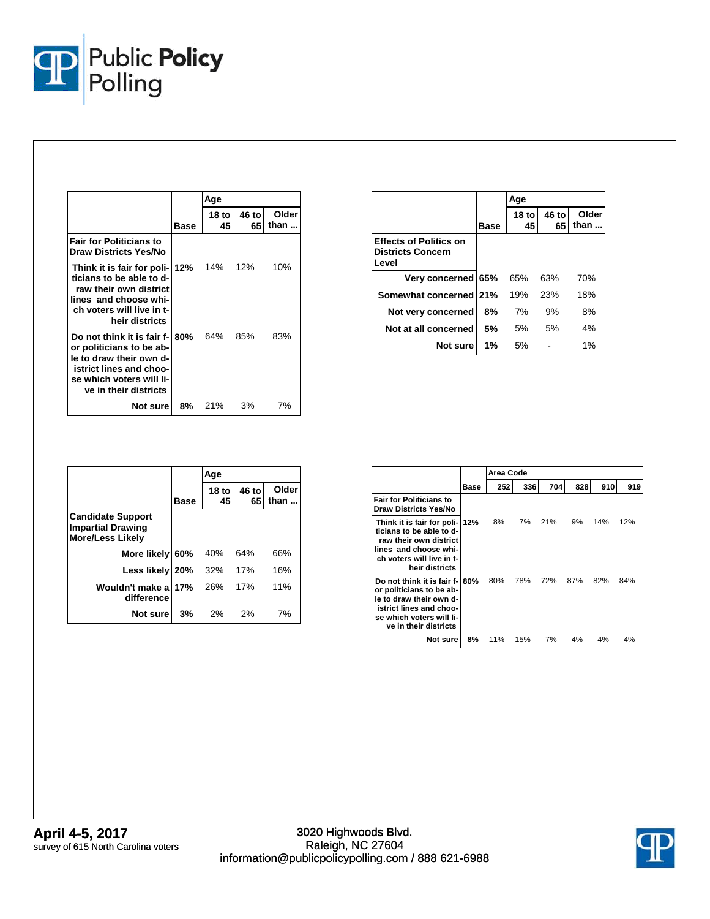

|                                                                                                                                                                         |      | Age                    |             |               |
|-------------------------------------------------------------------------------------------------------------------------------------------------------------------------|------|------------------------|-------------|---------------|
|                                                                                                                                                                         | Base | 18 <sub>to</sub><br>45 | 46 to<br>65 | Older<br>than |
| <b>Fair for Politicians to</b><br><b>Draw Districts Yes/No</b>                                                                                                          |      |                        |             |               |
| Think it is fair for poli- $12\%$ 14% 12%<br>ticians to be able to d-<br>raw their own district<br>lines and choose whi-<br>ch voters will live in t-<br>heir districts |      |                        |             | 10%           |
| Do not think it is fair f- 80%<br>or politicians to be ab-<br>le to draw their own d-<br>istrict lines and choo-<br>se which voters will li-<br>ve in their districts   |      | 64%                    | 85%         | 83%           |
| Not sure!                                                                                                                                                               | 8%   | <b>21%</b>             | 3%          | 7%            |

|                                                                    |      | Age           |             |               |
|--------------------------------------------------------------------|------|---------------|-------------|---------------|
|                                                                    | Base | $18$ to<br>45 | 46 to<br>65 | Older<br>than |
| <b>Effects of Politics on</b><br><b>Districts Concern</b><br>Level |      |               |             |               |
| Very concerned 65%                                                 |      | 65%           | 63%         | 70%           |
| Somewhat concerned 21%                                             |      | 19%           | 23%         | 18%           |
| Not very concerned                                                 | 8%   | 7%            | 9%          | 8%            |
| Not at all concerned                                               | 5%   | 5%            | 5%          | 4%            |
| Not sure                                                           | 1%   | 5%            |             | 1%            |

|                                                                                 |      | Age                    |             |               |
|---------------------------------------------------------------------------------|------|------------------------|-------------|---------------|
|                                                                                 | Base | 18 <sub>to</sub><br>45 | 46 to<br>65 | Older<br>than |
| <b>Candidate Support</b><br><b>Impartial Drawing</b><br><b>More/Less Likely</b> |      |                        |             |               |
| More likely 60%                                                                 |      | 40%                    | 64%         | 66%           |
| Less likely  20%                                                                |      | 32%                    | 17%         | 16%           |
| Wouldn't make a<br>difference                                                   | 17%  | 26%                    | 17%         | 11%           |
| Not sure                                                                        | 3%   | 2%                     | 2%          | 7%            |

|                                                                                                                                                                       |      |     | Area Code |     |     |     |     |
|-----------------------------------------------------------------------------------------------------------------------------------------------------------------------|------|-----|-----------|-----|-----|-----|-----|
|                                                                                                                                                                       | Base | 252 | 336       | 704 | 828 | 910 | 919 |
| <b>Fair for Politicians to</b><br>Draw Districts Yes/No                                                                                                               |      |     |           |     |     |     |     |
| Think it is fair for poli-12%<br>ticians to be able to d-<br>raw their own district<br>lines and choose whi-<br>ch voters will live in t-<br>heir districts           |      | 8%  | 7%        | 21% | 9%  | 14% | 12% |
| Do not think it is fair f-180%<br>or politicians to be ab-<br>le to draw their own d-<br>istrict lines and choo-<br>se which voters will li-<br>ve in their districts |      | 80% | 78%       | 72% | 87% | 82% | 84% |
| Not sure                                                                                                                                                              | 8%   | 11% | 15%       | 7%  | 4%  | 4%  | 4%  |